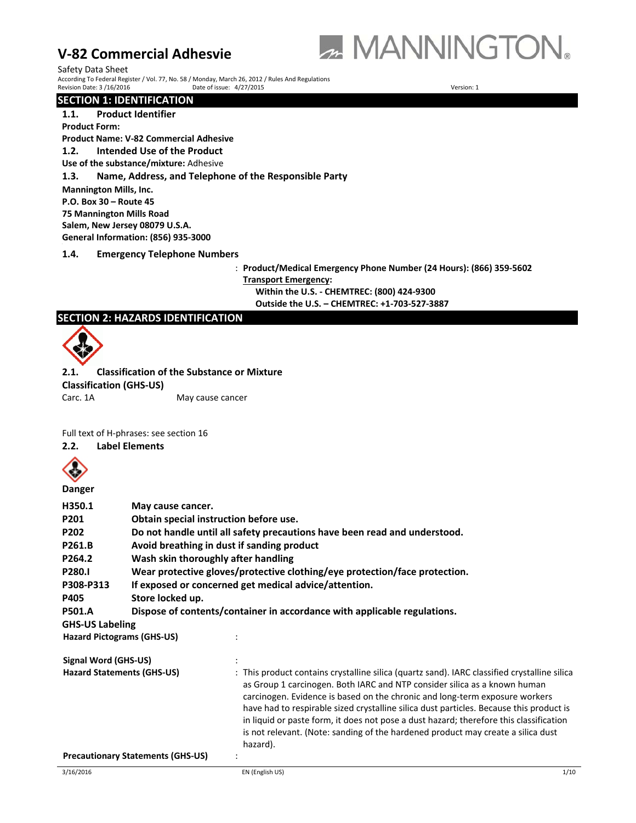

Safety Data Sheet According To Federal Register / Vol. 77, No. 58 / Monday, March 26, 2012 / Rules And Regulations Revision Date: 3 / 16/2016 Date: 0 Date of issue: 4/27/2015

# **SECTION 1: IDENTIFICATION**

# **1.1. Product Identifier**

**Product Form:** 

# **Product Name: V‐82 Commercial Adhesive**

**1.2. Intended Use of the Product**

**Use of the substance/mixture:** Adhesive

**1.3. Name, Address, and Telephone of the Responsible Party**

**Mannington Mills, Inc.**

**P.O. Box 30 – Route 45**

**75 Mannington Mills Road**

**Salem, New Jersey 08079 U.S.A.**

**General Information: (856) 935‐3000**

**1.4. Emergency Telephone Numbers**

: **Product/Medical Emergency Phone Number (24 Hours): (866) 359‐5602 Transport Emergency: Within the U.S. ‐ CHEMTREC: (800) 424‐9300** 

**Outside the U.S. – CHEMTREC: +1‐703‐527‐3887**

# **SECTION 2: HAZARDS IDENTIFICATION**



**2.1. Classification of the Substance or Mixture Classification (GHS‐US)** Carc. 1A May cause cancer

Full text of H‐phrases: see section 16

**2.2. Label Elements** 



**Danger** 

| H350.1<br>P201<br>P202<br>P261.B<br>P264.2<br><b>P280.I</b><br>P308-P313 | May cause cancer.                                                        | Obtain special instruction before use.<br>Do not handle until all safety precautions have been read and understood.<br>Avoid breathing in dust if sanding product<br>Wash skin thoroughly after handling<br>Wear protective gloves/protective clothing/eye protection/face protection.<br>If exposed or concerned get medical advice/attention.                                                                                                                                                                                               |      |
|--------------------------------------------------------------------------|--------------------------------------------------------------------------|-----------------------------------------------------------------------------------------------------------------------------------------------------------------------------------------------------------------------------------------------------------------------------------------------------------------------------------------------------------------------------------------------------------------------------------------------------------------------------------------------------------------------------------------------|------|
| P405                                                                     | Store locked up.                                                         |                                                                                                                                                                                                                                                                                                                                                                                                                                                                                                                                               |      |
| <b>P501.A</b>                                                            | Dispose of contents/container in accordance with applicable regulations. |                                                                                                                                                                                                                                                                                                                                                                                                                                                                                                                                               |      |
| <b>GHS-US Labeling</b>                                                   |                                                                          |                                                                                                                                                                                                                                                                                                                                                                                                                                                                                                                                               |      |
|                                                                          | <b>Hazard Pictograms (GHS-US)</b>                                        |                                                                                                                                                                                                                                                                                                                                                                                                                                                                                                                                               |      |
| Signal Word (GHS-US)                                                     |                                                                          |                                                                                                                                                                                                                                                                                                                                                                                                                                                                                                                                               |      |
|                                                                          | <b>Hazard Statements (GHS-US)</b>                                        | : This product contains crystalline silica (quartz sand). IARC classified crystalline silica<br>as Group 1 carcinogen. Both IARC and NTP consider silica as a known human<br>carcinogen. Evidence is based on the chronic and long-term exposure workers<br>have had to respirable sized crystalline silica dust particles. Because this product is<br>in liquid or paste form, it does not pose a dust hazard; therefore this classification<br>is not relevant. (Note: sanding of the hardened product may create a silica dust<br>hazard). |      |
|                                                                          | <b>Precautionary Statements (GHS-US)</b>                                 |                                                                                                                                                                                                                                                                                                                                                                                                                                                                                                                                               |      |
| 3/16/2016                                                                |                                                                          | EN (English US)                                                                                                                                                                                                                                                                                                                                                                                                                                                                                                                               | 1/10 |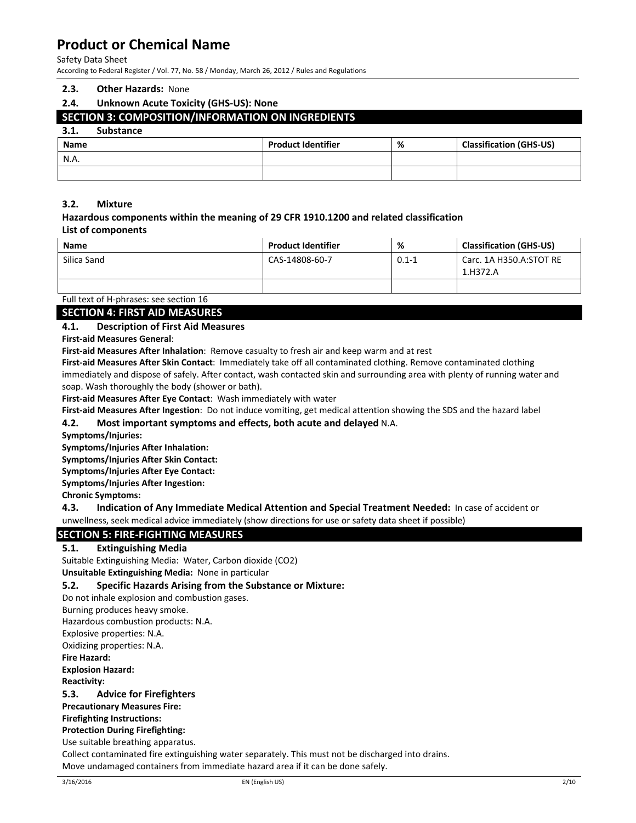#### Safety Data Sheet

According to Federal Register / Vol. 77, No. 58 / Monday, March 26, 2012 / Rules and Regulations

#### **2.3. Other Hazards:** None

### **2.4. Unknown Acute Toxicity (GHS‐US): None**

# **SECTION 3: COMPOSITION/INFORMATION ON INGREDIENTS**

### **3.1. Substance**

| ----<br>---------- |                           |   |                                |
|--------------------|---------------------------|---|--------------------------------|
| Name               | <b>Product Identifier</b> | % | <b>Classification (GHS-US)</b> |
| N.A.               |                           |   |                                |
|                    |                           |   |                                |

### **3.2. Mixture**

### **Hazardous components within the meaning of 29 CFR 1910.1200 and related classification List of components**

| <b>Name</b> | <b>Product Identifier</b> | %         | <b>Classification (GHS-US)</b>      |
|-------------|---------------------------|-----------|-------------------------------------|
| Silica Sand | CAS-14808-60-7            | $0.1 - 1$ | Carc. 1A H350.A:STOT RE<br>1.H372.A |
|             |                           |           |                                     |

# Full text of H‐phrases: see section 16

**SECTION 4: FIRST AID MEASURES**

### **4.1. Description of First Aid Measures**

**First‐aid Measures General**:

**First‐aid Measures After Inhalation**: Remove casualty to fresh air and keep warm and at rest

**First‐aid Measures After Skin Contact**: Immediately take off all contaminated clothing. Remove contaminated clothing immediately and dispose of safely. After contact, wash contacted skin and surrounding area with plenty of running water and soap. Wash thoroughly the body (shower or bath).

**First‐aid Measures After Eye Contact**: Wash immediately with water

**First‐aid Measures After Ingestion**: Do not induce vomiting, get medical attention showing the SDS and the hazard label

# **4.2. Most important symptoms and effects, both acute and delayed** N.A.

**Symptoms/Injuries:** 

**Symptoms/Injuries After Inhalation:** 

**Symptoms/Injuries After Skin Contact:** 

**Symptoms/Injuries After Eye Contact:** 

**Symptoms/Injuries After Ingestion:** 

**Chronic Symptoms:** 

**4.3. Indication of Any Immediate Medical Attention and Special Treatment Needed:** In case of accident or unwellness, seek medical advice immediately (show directions for use or safety data sheet if possible)

# **SECTION 5: FIRE‐FIGHTING MEASURES**

### **5.1. Extinguishing Media**

Suitable Extinguishing Media: Water, Carbon dioxide (CO2)

**Unsuitable Extinguishing Media:** None in particular

### **5.2. Specific Hazards Arising from the Substance or Mixture:**

Do not inhale explosion and combustion gases.

Burning produces heavy smoke.

Hazardous combustion products: N.A.

Explosive properties: N.A.

Oxidizing properties: N.A.

**Fire Hazard:** 

**Explosion Hazard: Reactivity:** 

**5.3. Advice for Firefighters**

**Precautionary Measures Fire:** 

**Firefighting Instructions:** 

**Protection During Firefighting:** 

Use suitable breathing apparatus.

Collect contaminated fire extinguishing water separately. This must not be discharged into drains. Move undamaged containers from immediate hazard area if it can be done safely.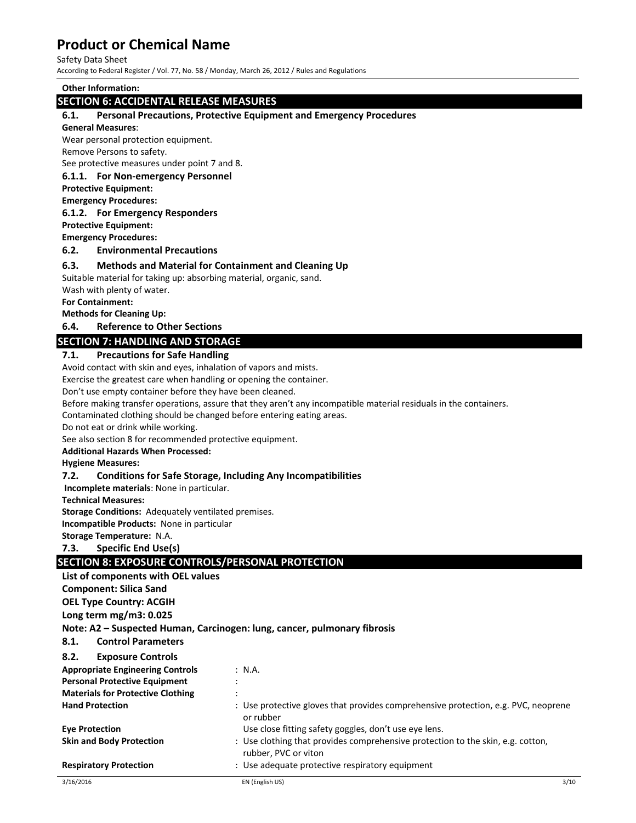#### Safety Data Sheet

According to Federal Register / Vol. 77, No. 58 / Monday, March 26, 2012 / Rules and Regulations

**Other Information:** 

### **SECTION 6: ACCIDENTAL RELEASE MEASURES**

### **6.1. Personal Precautions, Protective Equipment and Emergency Procedures**

#### **General Measures**:

Wear personal protection equipment.

Remove Persons to safety.

See protective measures under point 7 and 8.

### **6.1.1. For Non‐emergency Personnel**

**Protective Equipment:**

**Emergency Procedures:**

#### **6.1.2. For Emergency Responders**

**Protective Equipment:**

**Emergency Procedures:** 

### **6.2. Environmental Precautions**

### **6.3. Methods and Material for Containment and Cleaning Up**

Suitable material for taking up: absorbing material, organic, sand.

Wash with plenty of water.

### **For Containment:**

**Methods for Cleaning Up:**

**6.4. Reference to Other Sections**

### **SECTION 7: HANDLING AND STORAGE**

### **7.1. Precautions for Safe Handling**

Avoid contact with skin and eyes, inhalation of vapors and mists.

Exercise the greatest care when handling or opening the container.

Don't use empty container before they have been cleaned.

Before making transfer operations, assure that they aren't any incompatible material residuals in the containers.

Contaminated clothing should be changed before entering eating areas.

Do not eat or drink while working.

See also section 8 for recommended protective equipment.

**Additional Hazards When Processed:**

#### **Hygiene Measures:**

### **7.2. Conditions for Safe Storage, Including Any Incompatibilities**

**Incomplete materials**: None in particular.

#### **Technical Measures:**

**Storage Conditions:** Adequately ventilated premises.

**Incompatible Products:** None in particular

**Storage Temperature:** N.A.

**7.3. Specific End Use(s)** 

# **SECTION 8: EXPOSURE CONTROLS/PERSONAL PROTECTION**

**List of components with OEL values** 

**Component: Silica Sand**

**OEL Type Country: ACGIH**

**Long term mg/m3: 0.025**

**Note: A2 – Suspected Human, Carcinogen: lung, cancer, pulmonary fibrosis**

**8.1. Control Parameters**

| <b>Exposure Controls</b><br>8.2.                    |                                                                                                         |
|-----------------------------------------------------|---------------------------------------------------------------------------------------------------------|
| <b>Appropriate Engineering Controls</b>             | : N.A.                                                                                                  |
| <b>Personal Protective Equipment</b>                |                                                                                                         |
| <b>Materials for Protective Clothing</b><br>$\cdot$ |                                                                                                         |
| <b>Hand Protection</b>                              | : Use protective gloves that provides comprehensive protection, e.g. PVC, neoprene<br>or rubber         |
| <b>Eve Protection</b>                               | Use close fitting safety goggles, don't use eye lens.                                                   |
| <b>Skin and Body Protection</b>                     | : Use clothing that provides comprehensive protection to the skin, e.g. cotton,<br>rubber, PVC or viton |
| <b>Respiratory Protection</b>                       | : Use adequate protective respiratory equipment                                                         |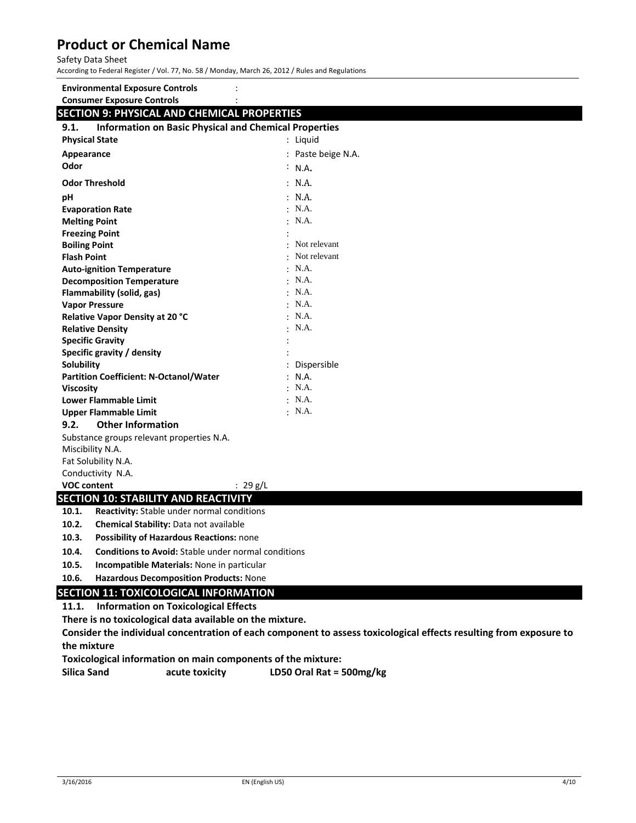#### Safety Data Sheet

According to Federal Register / Vol. 77, No. 58 / Monday, March 26, 2012 / Rules and Regulations

# **Environmental Exposure Controls** :

# **Consumer Exposure Controls** :

# **SECTION 9: PHYSICAL AND CHEMICAL PROPERTIES**

| <b>Information on Basic Physical and Chemical Properties</b><br>9.1. |                  |  |
|----------------------------------------------------------------------|------------------|--|
| <b>Physical State</b>                                                | : Liquid         |  |
| Appearance                                                           | Paste beige N.A. |  |
| Odor                                                                 | $\cdot$ N.A.     |  |
| <b>Odor Threshold</b>                                                | : N.A.           |  |
| pH                                                                   | : N.A.           |  |
| <b>Evaporation Rate</b>                                              | $\cdot$ N.A.     |  |
| <b>Melting Point</b>                                                 | $\cdot$ N.A.     |  |
| <b>Freezing Point</b>                                                |                  |  |
| <b>Boiling Point</b>                                                 | Not relevant     |  |
| <b>Flash Point</b>                                                   | Not relevant     |  |
| <b>Auto-ignition Temperature</b>                                     | $\cdot$ N.A.     |  |
| <b>Decomposition Temperature</b>                                     | $\cdot$ N.A.     |  |
| Flammability (solid, gas)                                            | $\cdot$ N.A.     |  |
| <b>Vapor Pressure</b>                                                | $\cdot$ N.A.     |  |
| Relative Vapor Density at 20 °C                                      | $\cdot$ N.A.     |  |
| <b>Relative Density</b>                                              | $\cdot$ N.A.     |  |
| <b>Specific Gravity</b>                                              |                  |  |
| Specific gravity / density                                           |                  |  |
| Solubility                                                           | Dispersible      |  |
| <b>Partition Coefficient: N-Octanol/Water</b>                        | : N.A.           |  |
| <b>Viscosity</b>                                                     | $\cdot$ N.A.     |  |
| <b>Lower Flammable Limit</b>                                         | $\cdot$ N.A.     |  |
| <b>Upper Flammable Limit</b>                                         | $\cdot$ N.A.     |  |
| <b>Other Information</b><br>9.2.                                     |                  |  |
| Substance groups relevant properties N.A.                            |                  |  |
| Miscibility N.A.                                                     |                  |  |
| Fat Solubility N.A.                                                  |                  |  |
| Conductivity N.A.                                                    |                  |  |
| <b>VOC content</b><br>: $29 g/L$                                     |                  |  |
| <b>SECTION 10: STABILITY AND REACTIVITY</b>                          |                  |  |
| <b>Reactivity:</b> Stable under normal conditions<br>10.1.           |                  |  |
| 10.2.<br>Chemical Stability: Data not available                      |                  |  |
| 10.3.<br>Possibility of Hazardous Reactions: none                    |                  |  |

- **10.4. Conditions to Avoid:** Stable under normal conditions
- **10.5. Incompatible Materials:** None in particular
- **10.6. Hazardous Decomposition Products:** None

# **SECTION 11: TOXICOLOGICAL INFORMATION**

# **11.1. Information on Toxicological Effects**

**There is no toxicological data available on the mixture.** 

**Consider the individual concentration of each component to assess toxicological effects resulting from exposure to the mixture** 

**Toxicological information on main components of the mixture:** 

**Silica Sand acute toxicity LD50 Oral Rat = 500mg/kg**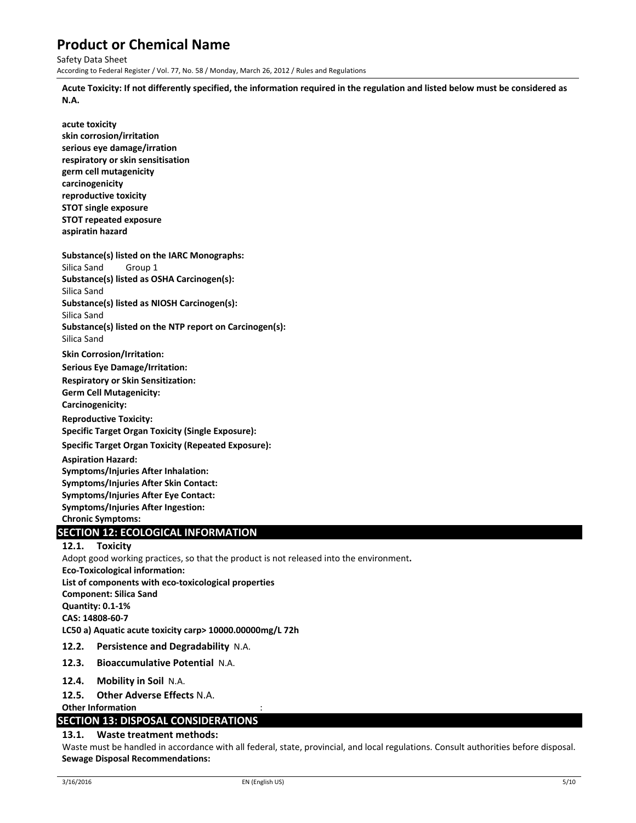Safety Data Sheet According to Federal Register / Vol. 77, No. 58 / Monday, March 26, 2012 / Rules and Regulations

Acute Toxicity: If not differently specified, the information required in the regulation and listed below must be considered as **N.A.** 

**acute toxicity skin corrosion/irritation serious eye damage/irration respiratory or skin sensitisation germ cell mutagenicity carcinogenicity reproductive toxicity STOT single exposure STOT repeated exposure aspiratin hazard** 

**Substance(s) listed on the IARC Monographs:**  Silica Sand Group 1 **Substance(s) listed as OSHA Carcinogen(s):** 

Silica Sand **Substance(s) listed as NIOSH Carcinogen(s):**  Silica Sand

**Substance(s) listed on the NTP report on Carcinogen(s):**  Silica Sand

**Skin Corrosion/Irritation:**

**Serious Eye Damage/Irritation: Respiratory or Skin Sensitization: Germ Cell Mutagenicity:**

**Carcinogenicity:**

**Reproductive Toxicity: Specific Target Organ Toxicity (Single Exposure):**

**Specific Target Organ Toxicity (Repeated Exposure):**

**Aspiration Hazard: Symptoms/Injuries After Inhalation: Symptoms/Injuries After Skin Contact: Symptoms/Injuries After Eye Contact: Symptoms/Injuries After Ingestion: Chronic Symptoms:**

# **SECTION 12: ECOLOGICAL INFORMATION**

# **12.1. Toxicity**

Adopt good working practices, so that the product is not released into the environment**. Eco‐Toxicological information: List of components with eco‐toxicological properties Component: Silica Sand Quantity: 0.1‐1% CAS: 14808‐60‐7 LC50 a) Aquatic acute toxicity carp> 10000.00000mg/L 72h 12.2. Persistence and Degradability** N.A. **12.3. Bioaccumulative Potential** N.A.

- **12.4. Mobility in Soil** N.A.
- **12.5. Other Adverse Effects** N.A.

**Other Information** :

# **SECTION 13: DISPOSAL CONSIDERATIONS**

# **13.1. Waste treatment methods:**

Waste must be handled in accordance with all federal, state, provincial, and local regulations. Consult authorities before disposal. **Sewage Disposal Recommendations:**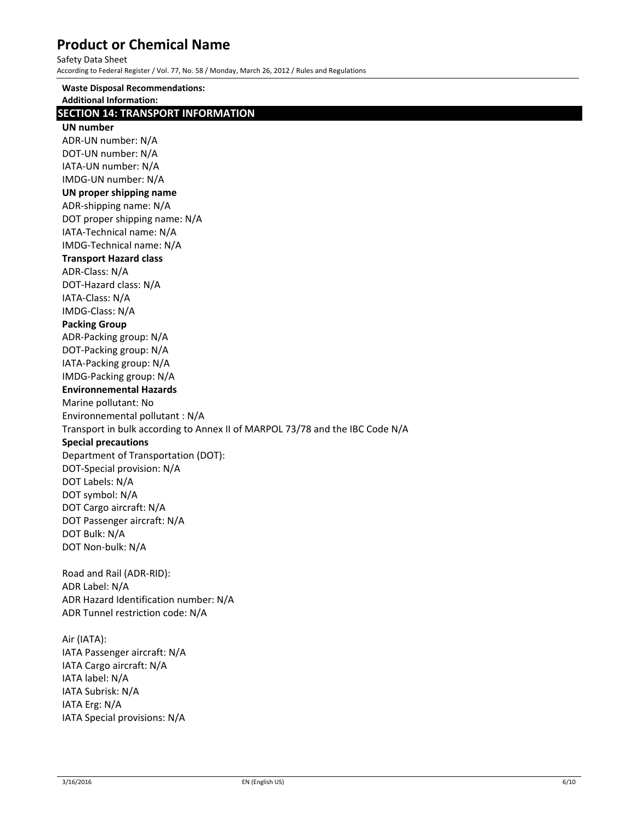Safety Data Sheet

According to Federal Register / Vol. 77, No. 58 / Monday, March 26, 2012 / Rules and Regulations

**Waste Disposal Recommendations: Additional Information: SECTION 14: TRANSPORT INFORMATION UN number** ADR‐UN number: N/A DOT‐UN number: N/A IATA‐UN number: N/A IMDG‐UN number: N/A **UN proper shipping name** ADR‐shipping name: N/A DOT proper shipping name: N/A IATA‐Technical name: N/A IMDG‐Technical name: N/A **Transport Hazard class** ADR‐Class: N/A DOT‐Hazard class: N/A IATA‐Class: N/A IMDG‐Class: N/A **Packing Group** ADR‐Packing group: N/A DOT‐Packing group: N/A IATA‐Packing group: N/A IMDG‐Packing group: N/A **Environnemental Hazards** Marine pollutant: No Environnemental pollutant : N/A Transport in bulk according to Annex II of MARPOL 73/78 and the IBC Code N/A **Special precautions** Department of Transportation (DOT): DOT‐Special provision: N/A DOT Labels: N/A DOT symbol: N/A DOT Cargo aircraft: N/A DOT Passenger aircraft: N/A DOT Bulk: N/A DOT Non‐bulk: N/A Road and Rail (ADR‐RID): ADR Label: N/A ADR Hazard Identification number: N/A ADR Tunnel restriction code: N/A Air (IATA): IATA Passenger aircraft: N/A IATA Cargo aircraft: N/A IATA label: N/A IATA Subrisk: N/A IATA Erg: N/A IATA Special provisions: N/A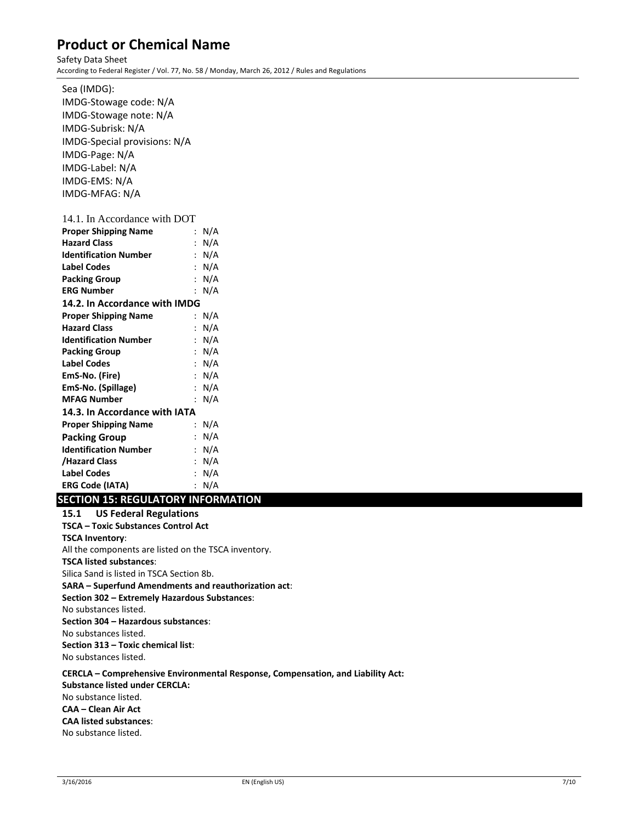Safety Data Sheet According to Federal Register / Vol. 77, No. 58 / Monday, March 26, 2012 / Rules and Regulations

Sea (IMDG): IMDG‐Stowage code: N/A IMDG‐Stowage note: N/A IMDG‐Subrisk: N/A IMDG‐Special provisions: N/A IMDG‐Page: N/A IMDG‐Label: N/A IMDG‐EMS: N/A IMDG‐MFAG: N/A 14.1. In Accordance with DOT **Proper Shipping Name**  : N/A **Hazard Class** : N/A **Identification Number**  : N/A **Label Codes** : N/A **Packing Group** : N/A **ERG Number** : N/A **14.2. In Accordance with IMDG Proper Shipping Name**  : N/A **Hazard Class** : N/A **Identification Number**  : N/A **Packing Group** : N/A **Label Codes** : N/A **EmS‐No. (Fire)** : N/A **EmS‐No. (Spillage)** : N/A **MFAG Number** : N/A **14.3. In Accordance with IATA Proper Shipping Name**  : N/A **Packing Group** : N/A **Identification Number**  : N/A **/Hazard Class** : N/A **Label Codes** : N/A

# **SECTION 15: REGULATORY INFORMATION**

**ERG Code (IATA)** : N/A

**15.1 US Federal Regulations TSCA – Toxic Substances Control Act TSCA Inventory**: All the components are listed on the TSCA inventory. **TSCA listed substances**: Silica Sand is listed in TSCA Section 8b. **SARA – Superfund Amendments and reauthorization act**: **Section 302 – Extremely Hazardous Substances**: No substances listed. **Section 304 – Hazardous substances**: No substances listed. **Section 313 – Toxic chemical list**: No substances listed.

**CERCLA – Comprehensive Environmental Response, Compensation, and Liability Act: Substance listed under CERCLA:** No substance listed. **CAA – Clean Air Act CAA listed substances**: No substance listed.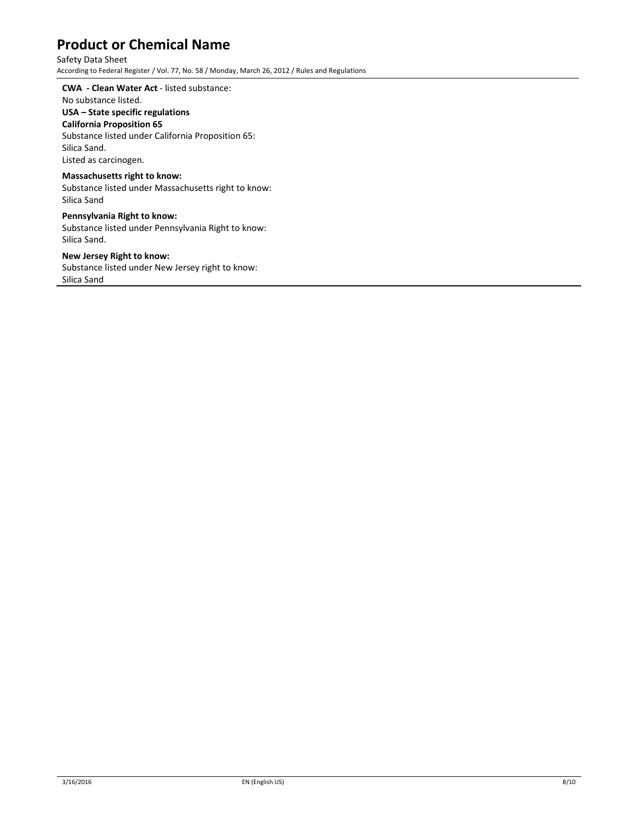# Safety Data Sheet

According to Federal Register / Vol. 77, No. 58 / Monday, March 26, 2012 / Rules and Regulations

#### **CWA ‐ Clean Water Act** ‐ listed substance:

# No substance listed.

### **USA – State specific regulations**

**California Proposition 65**

Substance listed under California Proposition 65:

Silica Sand. Listed as carcinogen.

### **Massachusetts right to know:**

Substance listed under Massachusetts right to know: Silica Sand

# **Pennsylvania Right to know:**

Substance listed under Pennsylvania Right to know: Silica Sand.

### **New Jersey Right to know:**

Substance listed under New Jersey right to know: Silica Sand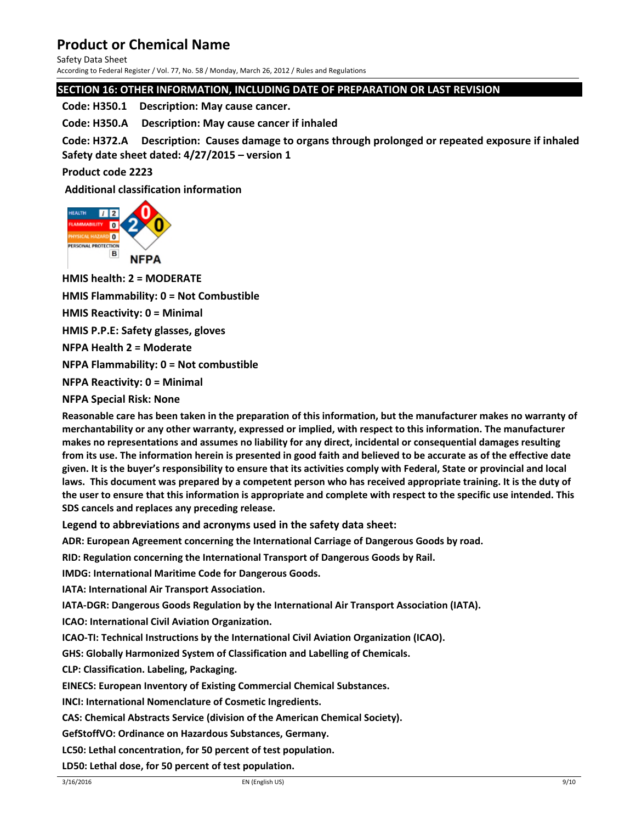Safety Data Sheet

According to Federal Register / Vol. 77, No. 58 / Monday, March 26, 2012 / Rules and Regulations

# **SECTION 16: OTHER INFORMATION, INCLUDING DATE OF PREPARATION OR LAST REVISION**

**Code: H350.1 Description: May cause cancer.** 

**Code: H350.A Description: May cause cancer if inhaled** 

Code: H372.A Description: Causes damage to organs through prolonged or repeated exposure if inhaled **Safety date sheet dated: 4/27/2015 – version 1** 

**Product code 2223** 

**Additional classification information** 



**HMIS health: 2 = MODERATE** 

**HMIS Flammability: 0 = Not Combustible** 

**HMIS Reactivity: 0 = Minimal** 

**HMIS P.P.E: Safety glasses, gloves** 

**NFPA Health 2 = Moderate** 

**NFPA Flammability: 0 = Not combustible** 

**NFPA Reactivity: 0 = Minimal** 

**NFPA Special Risk: None** 

Reasonable care has been taken in the preparation of this information, but the manufacturer makes no warranty of **merchantability or any other warranty, expressed or implied, with respect to this information. The manufacturer makes no representations and assumes no liability for any direct, incidental or consequential damages resulting** from its use. The information herein is presented in good faith and believed to be accurate as of the effective date given. It is the buyer's responsibility to ensure that its activities comply with Federal, State or provincial and local laws. This document was prepared by a competent person who has received appropriate training. It is the duty of the user to ensure that this information is appropriate and complete with respect to the specific use intended. This **SDS cancels and replaces any preceding release.** 

**Legend to abbreviations and acronyms used in the safety data sheet:** 

**ADR: European Agreement concerning the International Carriage of Dangerous Goods by road.** 

**RID: Regulation concerning the International Transport of Dangerous Goods by Rail.** 

**IMDG: International Maritime Code for Dangerous Goods.** 

**IATA: International Air Transport Association.** 

**IATA‐DGR: Dangerous Goods Regulation by the International Air Transport Association (IATA).** 

**ICAO: International Civil Aviation Organization.** 

**ICAO‐TI: Technical Instructions by the International Civil Aviation Organization (ICAO).** 

**GHS: Globally Harmonized System of Classification and Labelling of Chemicals.** 

**CLP: Classification. Labeling, Packaging.** 

**EINECS: European Inventory of Existing Commercial Chemical Substances.** 

**INCI: International Nomenclature of Cosmetic Ingredients.** 

**CAS: Chemical Abstracts Service (division of the American Chemical Society).** 

**GefStoffVO: Ordinance on Hazardous Substances, Germany.** 

**LC50: Lethal concentration, for 50 percent of test population.** 

**LD50: Lethal dose, for 50 percent of test population.**